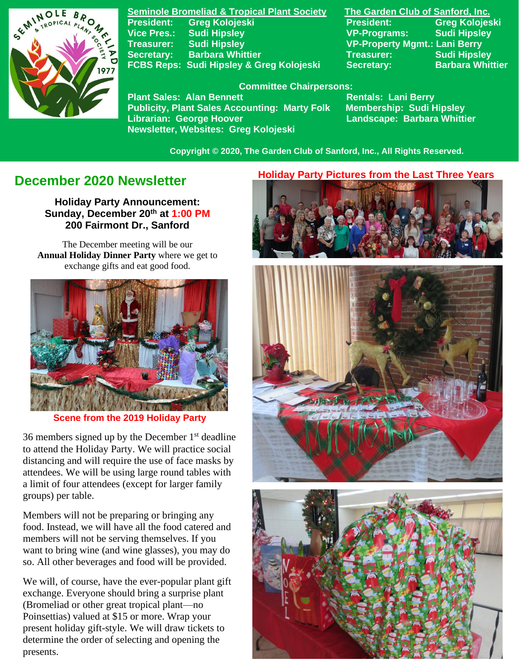

**Seminole Bromeliad & Tropical Plant Society The Garden Club of Sanford, Inc. Vice Pres.: Sudi Hipsley VP-Programs: Sudi Hipsley Treasurer: Sudi Hipsley VP-Property Mgmt.: Lani Berry Secretary:** Barbara Whittier **Treasurer:** Sudi Hipsley FCBS Reps: Sudi Hipsley & Greg Kolojeski Secretary: Barbara Whittier

**President: Greg Kolojeski President: Greg Kolojeski** 

#### **Committee Chairpersons:**

Plant Sales: Alan Bennett<br>Publicity, Plant Sales Accounting: Marty Folk Membership: Sudi Hipsley **Publicity, Plant Sales Accounting: Marty Folk Librarian: George Hoover Landscape: Barbara Whittier Newsletter, Websites: Greg Kolojeski**

 **Copyright © 2020, The Garden Club of Sanford, Inc., All Rights Reserved.**

# **December 2020 Newsletter**

**Holiday Party Announcement: Sunday, December 20th at 1:00 PM 200 Fairmont Dr., Sanford**

The December meeting will be our **Annual Holiday Dinner Party** where we get to exchange gifts and eat good food.



### **Scene from the 2019 Holiday Party**

36 members signed up by the December  $1<sup>st</sup>$  deadline to attend the Holiday Party. We will practice social distancing and will require the use of face masks by attendees. We will be using large round tables with a limit of four attendees (except for larger family groups) per table.

Members will not be preparing or bringing any food. Instead, we will have all the food catered and members will not be serving themselves. If you want to bring wine (and wine glasses), you may do so. All other beverages and food will be provided.

We will, of course, have the ever-popular plant gift exchange. Everyone should bring a surprise plant (Bromeliad or other great tropical plant—no Poinsettias) valued at \$15 or more. Wrap your present holiday gift-style. We will draw tickets to determine the order of selecting and opening the presents.

#### **Holiday Party Pictures from the Last Three Years**